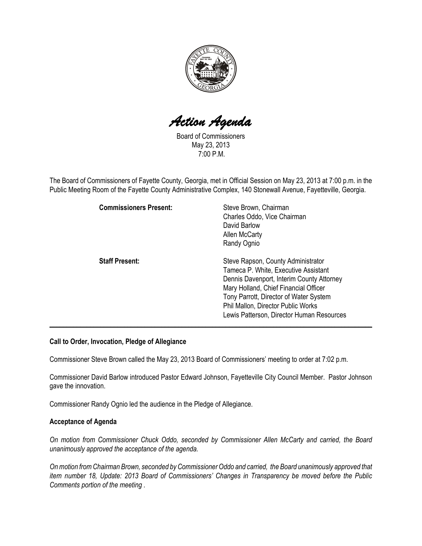

Action Agenda

Board of Commissioners May 23, 2013 7:00 P.M.

The Board of Commissioners of Fayette County, Georgia, met in Official Session on May 23, 2013 at 7:00 p.m. in the Public Meeting Room of the Fayette County Administrative Complex, 140 Stonewall Avenue, Fayetteville, Georgia.

| <b>Commissioners Present:</b> | Steve Brown, Chairman<br>Charles Oddo, Vice Chairman<br>David Barlow<br><b>Allen McCarty</b><br>Randy Ognio                                                                                                                                                                                   |
|-------------------------------|-----------------------------------------------------------------------------------------------------------------------------------------------------------------------------------------------------------------------------------------------------------------------------------------------|
| <b>Staff Present:</b>         | Steve Rapson, County Administrator<br>Tameca P. White, Executive Assistant<br>Dennis Davenport, Interim County Attorney<br>Mary Holland, Chief Financial Officer<br>Tony Parrott, Director of Water System<br>Phil Mallon, Director Public Works<br>Lewis Patterson, Director Human Resources |

#### Call to Order, Invocation, Pledge of Allegiance

Commissioner Steve Brown called the May 23, 2013 Board of Commissioners' meeting to order at 7:02 p.m.

Commissioner David Barlow introduced Pastor Edward Johnson, Fayetteville City Council Member. Pastor Johnson gave the innovation.

Commissioner Randy Ognio led the audience in the Pledge of Allegiance.

#### Acceptance of Agenda

On motion from Commissioner Chuck Oddo, seconded by Commissioner Allen McCarty and carried, the Board unanimously approved the acceptance of the agenda.

On motion from Chairman Brown, seconded by Commissioner Oddo and carried, the Board unanimously approved that item number 18, Update: 2013 Board of Commissioners' Changes in Transparency be moved before the Public Comments portion of the meeting .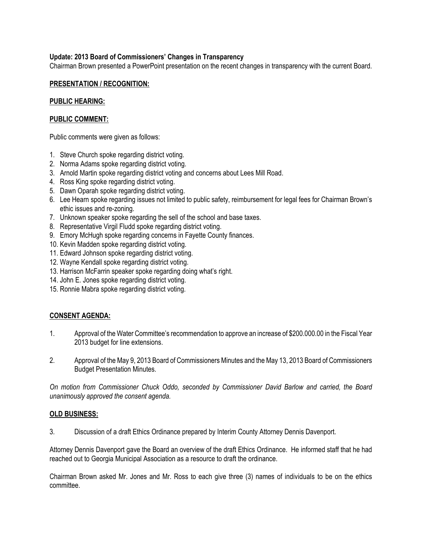# Update: 2013 Board of Commissioners' Changes in Transparency

Chairman Brown presented a PowerPoint presentation on the recent changes in transparency with the current Board.

#### PRESENTATION / RECOGNITION:

#### PUBLIC HEARING:

# PUBLIC COMMENT:

Public comments were given as follows:

- 1. Steve Church spoke regarding district voting.
- 2. Norma Adams spoke regarding district voting.
- 3. Arnold Martin spoke regarding district voting and concerns about Lees Mill Road.
- 4. Ross King spoke regarding district voting.
- 5. Dawn Oparah spoke regarding district voting.
- 6. Lee Hearn spoke regarding issues not limited to public safety, reimbursement for legal fees for Chairman Brown's ethic issues and re-zoning.
- 7. Unknown speaker spoke regarding the sell of the school and base taxes.
- 8. Representative Virgil Fludd spoke regarding district voting.
- 9. Emory McHugh spoke regarding concerns in Fayette County finances.
- 10. Kevin Madden spoke regarding district voting.
- 11. Edward Johnson spoke regarding district voting.
- 12. Wayne Kendall spoke regarding district voting.
- 13. Harrison McFarrin speaker spoke regarding doing what's right.
- 14. John E. Jones spoke regarding district voting.
- 15. Ronnie Mabra spoke regarding district voting.

# CONSENT AGENDA:

- 1. Approval of the Water Committee's recommendation to approve an increase of \$200.000.00 in the Fiscal Year 2013 budget for line extensions.
- 2. Approval of the May 9, 2013 Board of Commissioners Minutes and the May 13, 2013 Board of Commissioners Budget Presentation Minutes.

On motion from Commissioner Chuck Oddo, seconded by Commissioner David Barlow and carried, the Board unanimously approved the consent agenda.

#### OLD BUSINESS:

3. Discussion of a draft Ethics Ordinance prepared by Interim County Attorney Dennis Davenport.

Attorney Dennis Davenport gave the Board an overview of the draft Ethics Ordinance. He informed staff that he had reached out to Georgia Municipal Association as a resource to draft the ordinance.

Chairman Brown asked Mr. Jones and Mr. Ross to each give three (3) names of individuals to be on the ethics committee.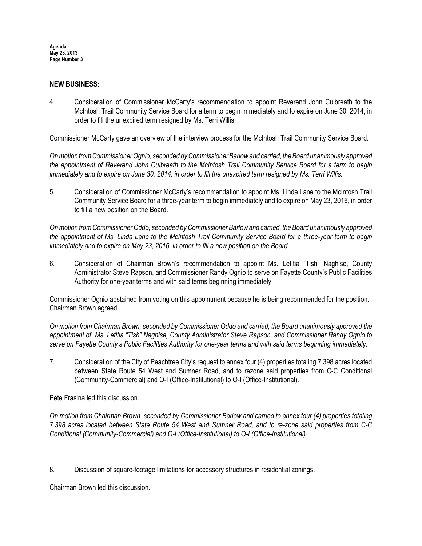Agenda May 23, 2013 Page Number 3

#### NEW BUSINESS:

4. Consideration of Commissioner McCarty's recommendation to appoint Reverend John Culbreath to the McIntosh Trail Community Service Board for a term to begin immediately and to expire on June 30, 2014, in order to fill the unexpired term resigned by Ms. Terri Willis.

Commissioner McCarty gave an overview of the interview process for the McIntosh Trail Community Service Board.

On motion from Commissioner Ognio, seconded by Commissioner Barlow and carried, the Board unanimously approved the appointment of Reverend John Culbreath to the McIntosh Trail Community Service Board for a term to begin immediately and to expire on June 30, 2014, in order to fill the unexpired term resigned by Ms. Terri Willis.

5. Consideration of Commissioner McCarty's recommendation to appoint Ms. Linda Lane to the McIntosh Trail Community Service Board for a three-year term to begin immediately and to expire on May 23, 2016, in order to fill a new position on the Board.

On motion from Commissioner Oddo, seconded by Commissioner Barlow and carried, the Board unanimously approved the appointment of Ms. Linda Lane to the McIntosh Trail Community Service Board for a three-year term to begin immediately and to expire on May 23, 2016, in order to fill a new position on the Board.

6. Consideration of Chairman Brown's recommendation to appoint Ms. Letitia "Tish" Naghise, County Administrator Steve Rapson, and Commissioner Randy Ognio to serve on Fayette County's Public Facilities Authority for one-year terms and with said terms beginning immediately.

Commissioner Ognio abstained from voting on this appointment because he is being recommended for the position. Chairman Brown agreed.

On motion from Chairman Brown, seconded by Commissioner Oddo and carried, the Board unanimously approved the appointment of Ms. Letitia "Tish" Naghise, County Administrator Steve Rapson, and Commissioner Randy Ognio to serve on Fayette County's Public Facilities Authority for one-year terms and with said terms beginning immediately.

7. Consideration of the City of Peachtree City's request to annex four (4) properties totaling 7.398 acres located between State Route 54 West and Sumner Road, and to rezone said properties from C-C Conditional (Community-Commercial) and O-I (Office-Institutional) to O-I (Office-Institutional).

Pete Frasina led this discussion.

On motion from Chairman Brown, seconded by Commissioner Barlow and carried to annex four (4) properties totaling 7.398 acres located between State Route 54 West and Sumner Road, and to re-zone said properties from C-C Conditional (Community-Commercial) and O-I (Office-Institutional) to O-I (Office-Institutional).

8. Discussion of square-footage limitations for accessory structures in residential zonings.

Chairman Brown led this discussion.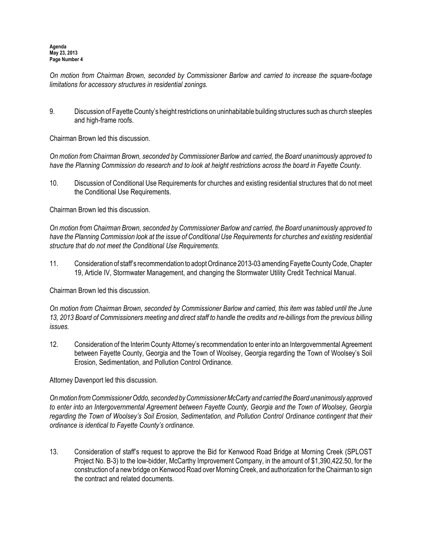On motion from Chairman Brown, seconded by Commissioner Barlow and carried to increase the square-footage limitations for accessory structures in residential zonings.

9. Discussion of Fayette County's height restrictions on uninhabitable building structures such as church steeples and high-frame roofs.

Chairman Brown led this discussion.

On motion from Chairman Brown, seconded by Commissioner Barlow and carried, the Board unanimously approved to have the Planning Commission do research and to look at height restrictions across the board in Fayette County.

10. Discussion of Conditional Use Requirements for churches and existing residential structures that do not meet the Conditional Use Requirements.

Chairman Brown led this discussion.

On motion from Chairman Brown, seconded by Commissioner Barlow and carried, the Board unanimously approved to have the Planning Commission look at the issue of Conditional Use Requirements for churches and existing residential structure that do not meet the Conditional Use Requirements.

11. Consideration of staff's recommendation to adopt Ordinance 2013-03 amending Fayette County Code, Chapter 19, Article IV, Stormwater Management, and changing the Stormwater Utility Credit Technical Manual.

Chairman Brown led this discussion.

On motion from Chairman Brown, seconded by Commissioner Barlow and carried, this item was tabled until the June 13, 2013 Board of Commissioners meeting and direct staff to handle the credits and re-billings from the previous billing issues.

12. Consideration of the Interim County Attorney's recommendation to enter into an Intergovernmental Agreement between Fayette County, Georgia and the Town of Woolsey, Georgia regarding the Town of Woolsey's Soil Erosion, Sedimentation, and Pollution Control Ordinance.

Attorney Davenport led this discussion.

On motion from Commissioner Oddo, seconded by Commissioner McCarty and carried the Board unanimously approved to enter into an Intergovernmental Agreement between Fayette County, Georgia and the Town of Woolsey, Georgia regarding the Town of Woolsey's Soil Erosion, Sedimentation, and Pollution Control Ordinance contingent that their ordinance is identical to Fayette County's ordinance.

13. Consideration of staff's request to approve the Bid for Kenwood Road Bridge at Morning Creek (SPLOST Project No. B-3) to the low-bidder, McCarthy Improvement Company, in the amount of \$1,390,422.50, for the construction of a new bridge on Kenwood Road over Morning Creek, and authorization for the Chairman to sign the contract and related documents.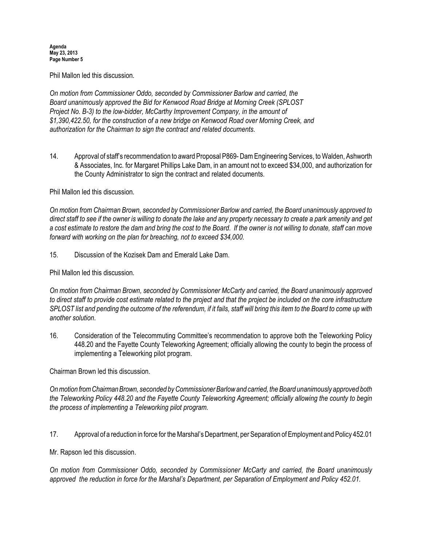#### Agenda May 23, 2013 Page Number 5

Phil Mallon led this discussion.

On motion from Commissioner Oddo, seconded by Commissioner Barlow and carried, the Board unanimously approved the Bid for Kenwood Road Bridge at Morning Creek (SPLOST Project No. B-3) to the low-bidder, McCarthy Improvement Company, in the amount of \$1,390,422.50, for the construction of a new bridge on Kenwood Road over Morning Creek, and authorization for the Chairman to sign the contract and related documents.

14. Approval of staff's recommendation to award Proposal P869- Dam Engineering Services, to Walden, Ashworth & Associates, Inc. for Margaret Phillips Lake Dam, in an amount not to exceed \$34,000, and authorization for the County Administrator to sign the contract and related documents.

## Phil Mallon led this discussion.

On motion from Chairman Brown, seconded by Commissioner Barlow and carried, the Board unanimously approved to direct staff to see if the owner is willing to donate the lake and any property necessary to create a park amenity and get a cost estimate to restore the dam and bring the cost to the Board. If the owner is not willing to donate, staff can move forward with working on the plan for breaching, not to exceed \$34,000.

15. Discussion of the Kozisek Dam and Emerald Lake Dam.

Phil Mallon led this discussion.

On motion from Chairman Brown, seconded by Commissioner McCarty and carried, the Board unanimously approved to direct staff to provide cost estimate related to the project and that the project be included on the core infrastructure SPLOST list and pending the outcome of the referendum, if it fails, staff will bring this item to the Board to come up with another solution.

16. Consideration of the Telecommuting Committee's recommendation to approve both the Teleworking Policy 448.20 and the Fayette County Teleworking Agreement; officially allowing the county to begin the process of implementing a Teleworking pilot program.

Chairman Brown led this discussion.

On motion from Chairman Brown, seconded by Commissioner Barlow and carried, the Board unanimously approved both the Teleworking Policy 448.20 and the Fayette County Teleworking Agreement; officially allowing the county to begin the process of implementing a Teleworking pilot program.

17. Approval of a reduction in force for the Marshal's Department, per Separation of Employment and Policy 452.01

Mr. Rapson led this discussion.

On motion from Commissioner Oddo, seconded by Commissioner McCarty and carried, the Board unanimously approved the reduction in force for the Marshal's Department, per Separation of Employment and Policy 452.01.